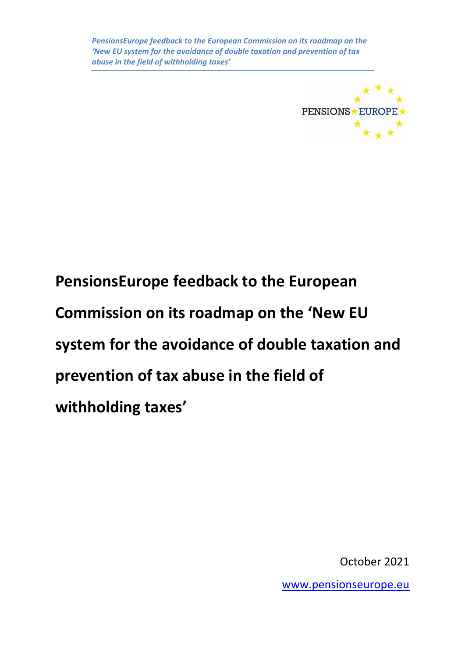

**PensionsEurope feedback to the European Commission on its roadmap on the 'New EU system for the avoidance of double taxation and prevention of tax abuse in the field of withholding taxes'**

October 2021

[www.pensionseurope.eu](http://www.pensionseurope.eu/)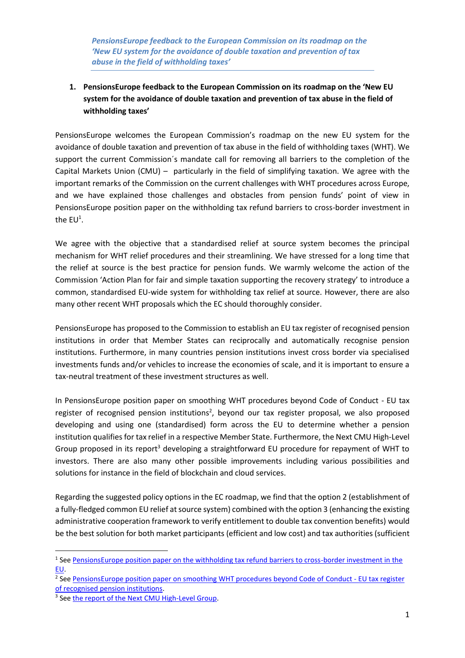## **1. PensionsEurope feedback to the European Commission on its roadmap on the 'New EU system for the avoidance of double taxation and prevention of tax abuse in the field of withholding taxes'**

PensionsEurope welcomes the European Commission's roadmap on the new EU system for the avoidance of double taxation and prevention of tax abuse in the field of withholding taxes (WHT). We support the current Commission´s mandate call for removing all barriers to the completion of the Capital Markets Union (CMU) – particularly in the field of simplifying taxation. We agree with the important remarks of the Commission on the current challenges with WHT procedures across Europe, and we have explained those challenges and obstacles from pension funds' point of view in PensionsEurope position paper on the withholding tax refund barriers to cross-border investment in the  $EU<sup>1</sup>$ .

We agree with the objective that a standardised relief at source system becomes the principal mechanism for WHT relief procedures and their streamlining. We have stressed for a long time that the relief at source is the best practice for pension funds. We warmly welcome the action of the Commission 'Action Plan for fair and simple taxation supporting the recovery strategy' to introduce a common, standardised EU-wide system for withholding tax relief at source. However, there are also many other recent WHT proposals which the EC should thoroughly consider.

PensionsEurope has proposed to the Commission to establish an EU tax register of recognised pension institutions in order that Member States can reciprocally and automatically recognise pension institutions. Furthermore, in many countries pension institutions invest cross border via specialised investments funds and/or vehicles to increase the economies of scale, and it is important to ensure a tax-neutral treatment of these investment structures as well.

In PensionsEurope position paper on smoothing WHT procedures beyond Code of Conduct - EU tax register of recognised pension institutions<sup>2</sup>, beyond our tax register proposal, we also proposed developing and using one (standardised) form across the EU to determine whether a pension institution qualifies for tax relief in a respective Member State. Furthermore, the Next CMU High-Level Group proposed in its report<sup>3</sup> developing a straightforward EU procedure for repayment of WHT to investors. There are also many other possible improvements including various possibilities and solutions for instance in the field of blockchain and cloud services.

Regarding the suggested policy options in the EC roadmap, we find that the option 2 (establishment of a fully-fledged common EU relief at source system) combined with the option 3 (enhancing the existing administrative cooperation framework to verify entitlement to double tax convention benefits) would be the best solution for both market participants (efficient and low cost) and tax authorities (sufficient

<sup>&</sup>lt;sup>1</sup> See [PensionsEurope position paper on the withholding tax refund barriers to cross-border investment in](https://www.pensionseurope.eu/system/files/PensionsEurope%20position%20paper%20on%20the%20withholding%20tax%20refund%20barriers%20-%20FINAL.pdf) the [EU.](https://www.pensionseurope.eu/system/files/PensionsEurope%20position%20paper%20on%20the%20withholding%20tax%20refund%20barriers%20-%20FINAL.pdf)

<sup>&</sup>lt;sup>2</sup> See [PensionsEurope position paper on smoothing WHT procedures beyond Code of](https://www.pensionseurope.eu/system/files/PensionsEurope%20Position%20Paper%20on%20EU%20tax%20register%20of%20recognised%20pension%20institutions_1.pdf) Conduct - EU tax register [of recognised pension institutions.](https://www.pensionseurope.eu/system/files/PensionsEurope%20Position%20Paper%20on%20EU%20tax%20register%20of%20recognised%20pension%20institutions_1.pdf)

<sup>&</sup>lt;sup>3</sup> See [the report of the Next CMU High-Level Group.](https://www.economie.gouv.fr/files/2019-10/The_Next_CMU_HL_DO.pdf)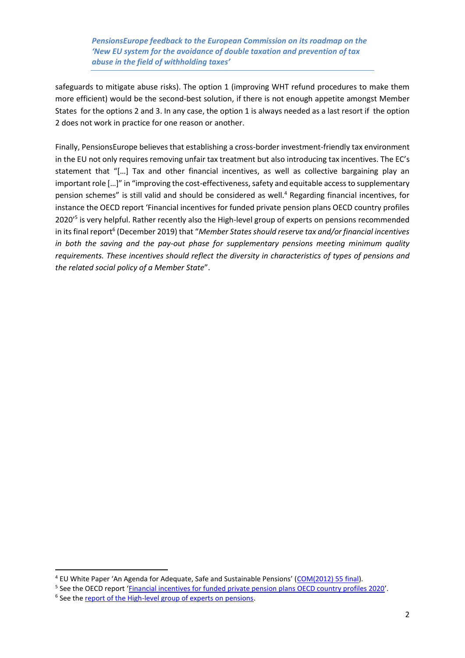safeguards to mitigate abuse risks). The option 1 (improving WHT refund procedures to make them more efficient) would be the second-best solution, if there is not enough appetite amongst Member States for the options 2 and 3. In any case, the option 1 is always needed as a last resort if the option 2 does not work in practice for one reason or another.

Finally, PensionsEurope believes that establishing a cross-border investment-friendly tax environment in the EU not only requires removing unfair tax treatment but also introducing tax incentives. The EC's statement that "[…] Tax and other financial incentives, as well as collective bargaining play an important role […]" in "improving the cost-effectiveness, safety and equitable access to supplementary pension schemes" is still valid and should be considered as well.<sup>4</sup> Regarding financial incentives, for instance the OECD report 'Financial incentives for funded private pension plans OECD country profiles 2020<sup>'5</sup> is very helpful. Rather recently also the High-level group of experts on pensions recommended in its final report 6 (December 2019) that "*Member States should reserve tax and/or financial incentives in both the saving and the pay-out phase for supplementary pensions meeting minimum quality requirements. These incentives should reflect the diversity in characteristics of types of pensions and the related social policy of a Member State*".

<sup>&</sup>lt;sup>4</sup> EU White Paper 'An Agenda for Adequate, Safe and Sustainable Pensions' ([COM\(2012\) 55 final\)](file:///C:/Users/Pekka.eskola/AppData/Local/Microsoft/Windows/INetCache/Content.Outlook/DV6JK9AO/eur-lex.europa.eu/LexUriServ/LexUriServ.do%3furi=COM:2012:0055:FIN:EN:PDF).

<sup>&</sup>lt;sup>5</sup> See the OECD report '*[Financial incentives for funded private pension plans OECD country profiles 2020](https://www.oecd.org/finance/private-pensions/Financial-Incentives-for-Funded-Pension-Plans-in-OECD-Countries-2020.pdf)'*.

<sup>&</sup>lt;sup>6</sup> See the [report of the High-level group of experts on pensions.](https://ec.europa.eu/transparency/regexpert/index.cfm?do=groupDetail.groupMeetingDoc&docid=38547)